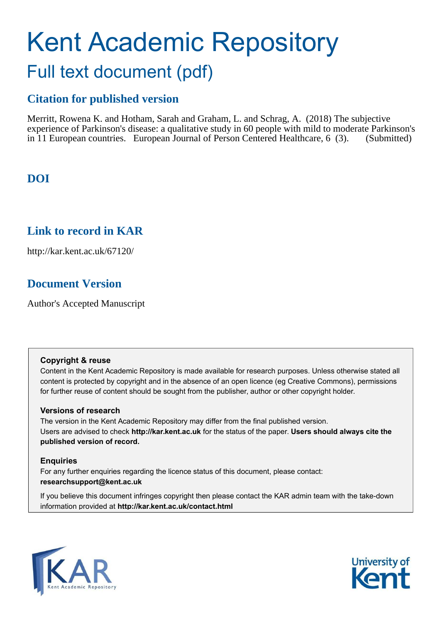# Kent Academic Repository Full text document (pdf)

# **Citation for published version**

Merritt, Rowena K. and Hotham, Sarah and Graham, L. and Schrag, A. (2018) The subjective experience of Parkinson's disease: a qualitative study in 60 people with mild to moderate Parkinson's in 11 European countries. European Journal of Person Centered Healthcare, 6 (3). (Submitted)

# **DOI**

# **Link to record in KAR**

http://kar.kent.ac.uk/67120/

# **Document Version**

Author's Accepted Manuscript

# **Copyright & reuse**

Content in the Kent Academic Repository is made available for research purposes. Unless otherwise stated all content is protected by copyright and in the absence of an open licence (eg Creative Commons), permissions for further reuse of content should be sought from the publisher, author or other copyright holder.

# **Versions of research**

The version in the Kent Academic Repository may differ from the final published version. Users are advised to check **http://kar.kent.ac.uk** for the status of the paper. **Users should always cite the published version of record.**

# **Enquiries**

For any further enquiries regarding the licence status of this document, please contact: **researchsupport@kent.ac.uk**

If you believe this document infringes copyright then please contact the KAR admin team with the take-down information provided at **http://kar.kent.ac.uk/contact.html**



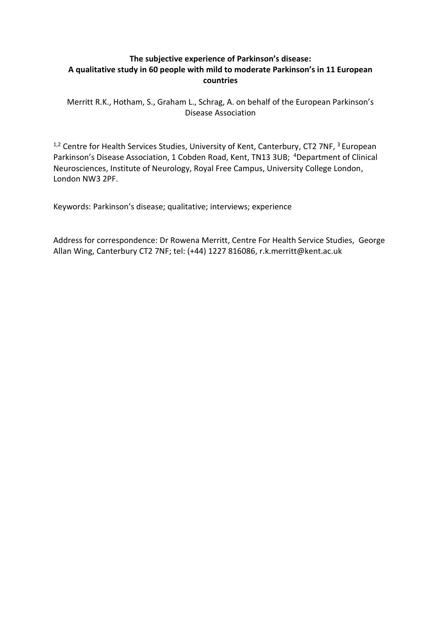# **The subjective experience of Parkinson's disease:** A qualitative study in 60 people with mild to moderate Parkinson's in 11 European **countries**

Merritt R.K., Hotham, S., Graham L., Schrag, A. on behalf of the European Parkinson's Disease Association

 $1,2$  Centre for Health Services Studies, University of Kent, Canterbury, CT2 7NF,  $3$  European Parkinson's Disease Association, 1 Cobden Road, Kent, TN13 3UB; <sup>4</sup>Department of Clinical Neurosciences, Institute of Neurology, Royal Free Campus, University College London, London NW3 2PF.

Keywords: Parkinson's disease; qualitative; interviews; experience

Address for correspondence: Dr Rowena Merritt, Centre For Health Service Studies, George Allan Wing, Canterbury CT2 7NF; tel: (+44) 1227 816086, r.k.merritt@kent.ac.uk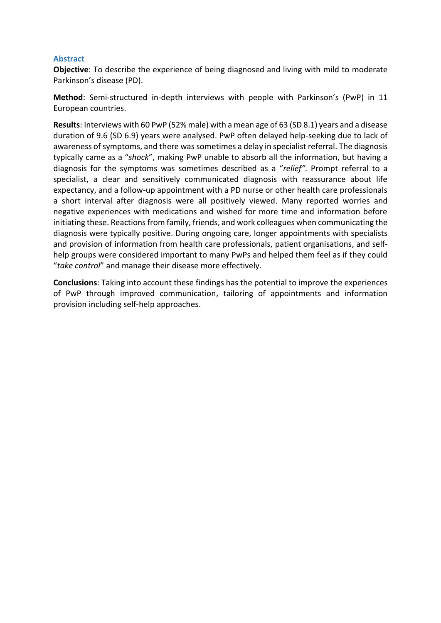#### **Abstract**

**Objective**: To describe the experience of being diagnosed and living with mild to moderate Parkinson's disease (PD).

**Method**: Semi-structured in-depth interviews with people with Parkinson's (PwP) in 11 European countries.

**Results**: Interviews with 60 PwP (52% male) with a mean age of 63 (SD 8.1) years and a disease duration of 9.6 (SD 6.9) years were analysed. PwP often delayed help-seeking due to lack of awareness of symptoms, and there was sometimes a delay in specialist referral. The diagnosis typically came as a "shock", making PwP unable to absorb all the information, but having a diagnosis for the symptoms was sometimes described as a "relief". Prompt referral to a specialist, a clear and sensitively communicated diagnosis with reassurance about life expectancy, and a follow-up appointment with a PD nurse or other health care professionals a short interval after diagnosis were all positively viewed. Many reported worries and negative experiences with medications and wished for more time and information before initiating these. Reactions from family, friends, and work colleagues when communicating the diagnosis were typically positive. During ongoing care, longer appointments with specialists and provision of information from health care professionals, patient organisations, and selfhelp groups were considered important to many PwPs and helped them feel as if they could "take control" and manage their disease more effectively.

**Conclusions**: Taking into account these findings has the potential to improve the experiences of PwP through improved communication, tailoring of appointments and information provision including self-help approaches.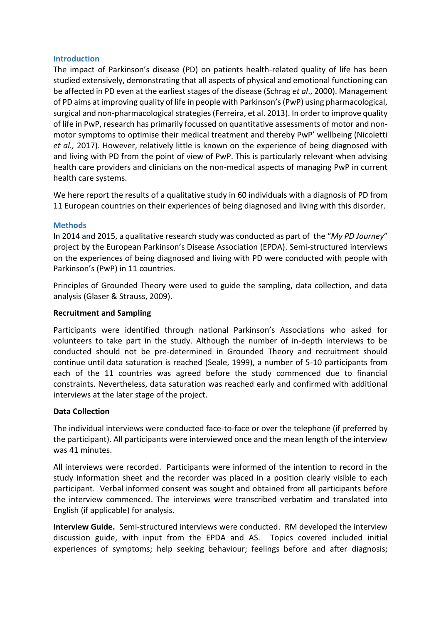#### **Introduction**

The impact of Parkinson's disease (PD) on patients health-related quality of life has been studied extensively, demonstrating that all aspects of physical and emotional functioning can be affected in PD even at the earliest stages of the disease (Schrag *et al*., 2000). Management of PD aims at improving quality of life in people with Parkinson's (PwP) using pharmacological, surgical and non-pharmacological strategies (Ferreira, et al. 2013). In order to improve quality of life in PwP, research has primarily focussed on quantitative assessments of motor and nonmotor symptoms to optimise their medical treatment and thereby PwP' wellbeing (Nicoletti *et al.,* 2017). However, relatively little is known on the experience of being diagnosed with and living with PD from the point of view of PwP. This is particularly relevant when advising health care providers and clinicians on the non-medical aspects of managing PwP in current health care systems.

We here report the results of a qualitative study in 60 individuals with a diagnosis of PD from 11 European countries on their experiences of being diagnosed and living with this disorder.

#### **Methods**

In 2014 and 2015, a qualitative research study was conducted as part of the "My PD Journey" project by the European Parkinson's Disease Association (EPDA). Semi-structured interviews on the experiences of being diagnosed and living with PD were conducted with people with Parkinson's (PwP) in 11 countries.

Principles of Grounded Theory were used to guide the sampling, data collection, and data analysis (Glaser & Strauss, 2009).

## **Recruitment and Sampling**

Participants were identified through national Parkinson's Associations who asked for volunteers to take part in the study. Although the number of in-depth interviews to be conducted should not be pre-determined in Grounded Theory and recruitment should continue until data saturation is reached (Seale, 1999), a number of 5-10 participants from each of the 11 countries was agreed before the study commenced due to financial constraints. Nevertheless, data saturation was reached early and confirmed with additional interviews at the later stage of the project.

#### **Data Collection**

The individual interviews were conducted face-to-face or over the telephone (if preferred by the participant). All participants were interviewed once and the mean length of the interview was 41 minutes.

All interviews were recorded. Participants were informed of the intention to record in the study information sheet and the recorder was placed in a position clearly visible to each participant. Verbal informed consent was sought and obtained from all participants before the interview commenced. The interviews were transcribed verbatim and translated into English (if applicable) for analysis.

**Interview Guide.** Semi-structured interviews were conducted. RM developed the interview discussion guide, with input from the EPDA and AS. Topics covered included initial experiences of symptoms; help seeking behaviour; feelings before and after diagnosis;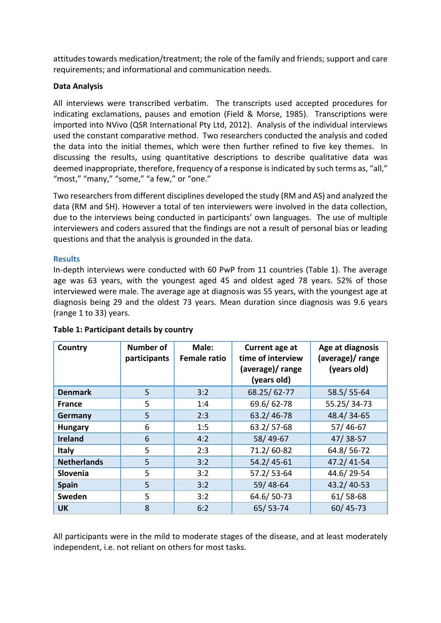attitudes towards medication/treatment; the role of the family and friends; support and care requirements; and informational and communication needs.

# **Data Analysis**

All interviews were transcribed verbatim. The transcripts used accepted procedures for indicating exclamations, pauses and emotion (Field & Morse, 1985). Transcriptions were imported into NVivo (QSR International Pty Ltd, 2012). Analysis of the individual interviews used the constant comparative method. Two researchers conducted the analysis and coded the data into the initial themes, which were then further refined to five key themes. In discussing the results, using quantitative descriptions to describe qualitative data was deemed inappropriate, therefore, frequency of a response is indicated by such terms as, "all," "most," "many," "some," "a few," or "one."

Two researchers from different disciplines developed the study (RM and AS) and analyzed the data (RM and SH). However a total of ten interviewers were involved in the data collection, due to the interviews being conducted in participants' own languages. The use of multiple interviewers and coders assured that the findings are not a result of personal bias or leading questions and that the analysis is grounded in the data.

## **Results**

In-depth interviews were conducted with 60 PwP from 11 countries (Table 1). The average age was 63 years, with the youngest aged 45 and oldest aged 78 years. 52% of those interviewed were male. The average age at diagnosis was 55 years, with the youngest age at diagnosis being 29 and the oldest 73 years. Mean duration since diagnosis was 9.6 years (range 1 to 33) years.

| Country            | <b>Number of</b><br>participants | Male:<br><b>Female ratio</b> | Current age at<br>time of interview<br>(average)/ range<br>(years old) | Age at diagnosis<br>(average)/ range<br>(years old) |
|--------------------|----------------------------------|------------------------------|------------------------------------------------------------------------|-----------------------------------------------------|
| <b>Denmark</b>     | 5                                | 3:2                          | 68.25/62-77                                                            | 58.5/55-64                                          |
| <b>France</b>      | 5                                | 1:4                          | 69.6/62-78                                                             | 55.25/34-73                                         |
| Germany            | 5                                | 2:3                          | 63.2/46-78                                                             | 48.4/34-65                                          |
| <b>Hungary</b>     | 6                                | 1:5                          | 63.2/57-68                                                             | $57/46-67$                                          |
| <b>Ireland</b>     | 6                                | 4:2                          | 58/49-67                                                               | $47/38-57$                                          |
| <b>Italy</b>       | 5                                | 2:3                          | 71.2/60-82                                                             | 64.8/56-72                                          |
| <b>Netherlands</b> | 5                                | 3:2                          | $54.2/45 - 61$                                                         | 47.2/41-54                                          |
| Slovenia           | 5                                | 3:2                          | 57.2/53-64                                                             | 44.6/29-54                                          |
| <b>Spain</b>       | 5                                | 3:2                          | 59/48-64                                                               | 43.2/40-53                                          |
| Sweden             | 5                                | 3:2                          | 64.6/50-73                                                             | $61/58-68$                                          |
| <b>UK</b>          | 8                                | 6:2                          | 65/53-74                                                               | 60/45-73                                            |

**Table 1: Participant details by country** 

All participants were in the mild to moderate stages of the disease, and at least moderately independent, i.e. not reliant on others for most tasks.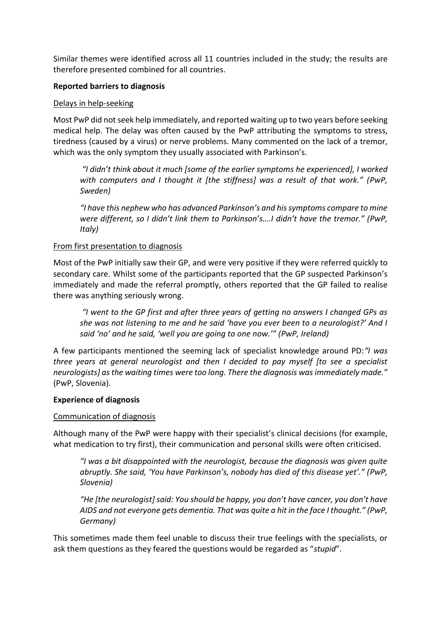Similar themes were identified across all 11 countries included in the study; the results are therefore presented combined for all countries.

## **Reported barriers to diagnosis**

#### Delays in help-seeking

Most PwP did not seek help immediately, and reported waiting up to two years before seeking medical help. The delay was often caused by the PwP attributing the symptoms to stress, tiredness (caused by a virus) or nerve problems. Many commented on the lack of a tremor, which was the only symptom they usually associated with Parkinson's.

"I didn't think about it much [some of the earlier symptoms he experienced], I worked *with computers and I thought it [the stiffness] was a result of that work." (PwP, Sweden)* 

"I have this nephew who has advanced Parkinson's and his symptoms compare to mine *Were different, so I didn't link them to Parkinson's....I didn't have the tremor." (PwP, Italy)* 

## From first presentation to diagnosis

Most of the PwP initially saw their GP, and were very positive if they were referred quickly to secondary care. Whilst some of the participants reported that the GP suspected Parkinson's immediately and made the referral promptly, others reported that the GP failed to realise there was anything seriously wrong.

"I went to the GP first and after three years of getting no answers I changed GPs as *she was not listening to me and he said 'have you ever been to a neurologist?' And I said 'no' and he said, 'well you are going to one now.'" (PwP, Ireland)* 

A few participants mentioned the seeming lack of specialist knowledge around PD: "*I was three years at general neurologist and then I decided to pay myself [to see a specialist*  neurologists] as the waiting times were too long. There the diagnosis was immediately made." (PwP, Slovenia).

#### **Experience of diagnosis**

#### Communication of diagnosis

Although many of the PwP were happy with their specialist's clinical decisions (for example, what medication to try first), their communication and personal skills were often criticised.

"I was a bit disappointed with the neurologist, because the diagnosis was given quite *abruptly. She said, 'You have Parkinson's, nobody has died of this disease yet'." (PwP, Slovenia)* 

"He [the neurologist] said: You should be happy, you don't have cancer, you don't have *AIDS and not everyone gets dementia. That was quite a hit in the face I thought." (PwP, Germany)* 

This sometimes made them feel unable to discuss their true feelings with the specialists, or ask them questions as they feared the questions would be regarded as "stupid".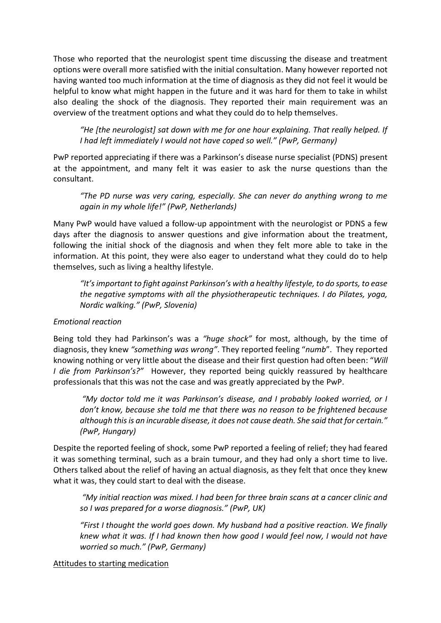Those who reported that the neurologist spent time discussing the disease and treatment options were overall more satisfied with the initial consultation. Many however reported not having wanted too much information at the time of diagnosis as they did not feel it would be helpful to know what might happen in the future and it was hard for them to take in whilst also dealing the shock of the diagnosis. They reported their main requirement was an overview of the treatment options and what they could do to help themselves.

*"He [the neurologist] sat down with me for one hour explaining. That really helped. If I had left immediately I would not have coped so well." (PwP, Germany)* 

PwP reported appreciating if there was a Parkinson's disease nurse specialist (PDNS) present at the appointment, and many felt it was easier to ask the nurse questions than the consultant.

*"The PD nurse was very caring, especially. She can never do anything wrong to me <u>zagain in my whole life!" (PwP, Netherlands)</u>* 

Many PwP would have valued a follow-up appointment with the neurologist or PDNS a few days after the diagnosis to answer questions and give information about the treatment, following the initial shock of the diagnosis and when they felt more able to take in the information. At this point, they were also eager to understand what they could do to help themselves, such as living a healthy lifestyle.

"It's important to fight against Parkinson's with a healthy lifestyle, to do sports, to ease *the negative symptoms with all the physiotherapeutic techniques. I do Pilates, yoga, Nordic walking." (PwP, Slovenia)* 

# *Emotional reaction*

Being told they had Parkinson's was a "huge shock" for most, although, by the time of diagnosis, they knew "something was wrong". They reported feeling "numb". They reported knowing nothing or very little about the disease and their first question had often been: "Will *I die from Parkinson's?"* However, they reported being quickly reassured by healthcare professionals that this was not the case and was greatly appreciated by the PwP.

"My doctor told me it was Parkinson's disease, and I probably looked worried, or I don't know, because she told me that there was no reason to be frightened because *although this is an incurable disease, it does not cause death. She said that for certain.*" *(PwP, Hungary)* 

Despite the reported feeling of shock, some PwP reported a feeling of relief; they had feared it was something terminal, such as a brain tumour, and they had only a short time to live. Others talked about the relief of having an actual diagnosis, as they felt that once they knew what it was, they could start to deal with the disease.

"My initial reaction was mixed. I had been for three brain scans at a cancer clinic and *so I was prepared for a worse diagnosis." (PwP, UK)* 

*"First I thought the world goes down. My husband had a positive reaction. We finally knew what it was. If I had known then how good I would feel now, I would not have worried so much." (PwP, Germany)* 

Attitudes to starting medication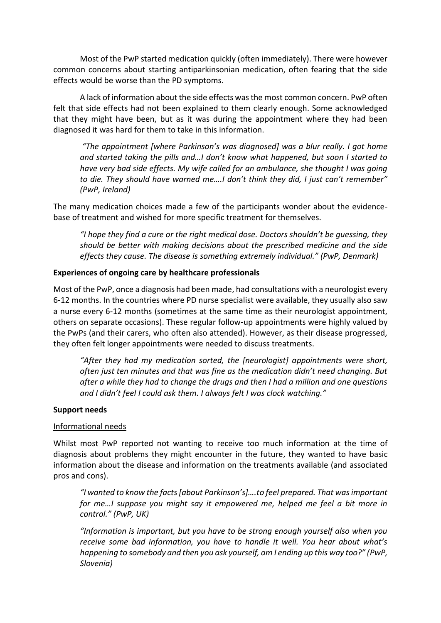Most of the PwP started medication quickly (often immediately). There were however common concerns about starting antiparkinsonian medication, often fearing that the side effects would be worse than the PD symptoms.

A lack of information about the side effects was the most common concern. PwP often felt that side effects had not been explained to them clearly enough. Some acknowledged that they might have been, but as it was during the appointment where they had been diagnosed it was hard for them to take in this information.

"The appointment *[where Parkinson's was diagnosed] was a blur really. I got home* and started taking the pills and...I don't know what happened, but soon I started to *have very bad side effects. My wife called for an ambulance, she thought I was going to die. They should have warned me....I don't think they did, I just can't remember" (PwP, Ireland)* 

The many medication choices made a few of the participants wonder about the evidencebase of treatment and wished for more specific treatment for themselves.

"I hope they find a cure or the right medical dose. Doctors shouldn't be quessing, they *should be better with making decisions about the prescribed medicine and the side effects they cause. The disease is something extremely individual." (PwP, Denmark)* 

#### **Experiences of ongoing care by healthcare professionals**

Most of the PwP, once a diagnosis had been made, had consultations with a neurologist every 6-12 months. In the countries where PD nurse specialist were available, they usually also saw a nurse every 6-12 months (sometimes at the same time as their neurologist appointment, others on separate occasions). These regular follow-up appointments were highly valued by the PwPs (and their carers, who often also attended). However, as their disease progressed, they often felt longer appointments were needed to discuss treatments.

*"After they had my medication sorted, the [neurologist] appointments were short, often just ten minutes and that was fine as the medication didn't need changing. But after a while they had to change the drugs and then I had a million and one questions and I didn't feel I could ask them. I always felt I was clock watching."* 

#### **Support needs**

#### Informational needs

Whilst most PwP reported not wanting to receive too much information at the time of diagnosis about problems they might encounter in the future, they wanted to have basic information about the disease and information on the treatments available (and associated pros and cons).

"I wanted to know the facts *[about Parkinson's]....to feel prepared. That was important for me...I suppose you might say it empowered me, helped me feel a bit more in Iラミデヴラノくざ ふPwP, UK)* 

*"Information is important, but you have to be strona enouah yourself also when you receive some bad information, you have to handle it well. You hear about what's happening to somebody and then you ask yourself, am I ending up this way too?" (PwP, Slovenia)*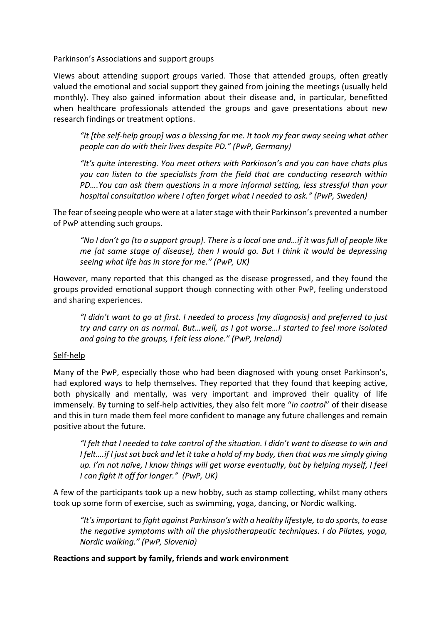## Parkinson's Associations and support groups

Views about attending support groups varied. Those that attended groups, often greatly valued the emotional and social support they gained from joining the meetings (usually held monthly). They also gained information about their disease and, in particular, benefitted when healthcare professionals attended the groups and gave presentations about new research findings or treatment options.

"It [the self-help group] was a blessing for me. It took my fear away seeing what other *people can do with their lives despite PD." (PwP, Germany)* 

*"It's quite interesting. You meet others with Parkinson's and you can have chats plus you can listen to the specialists from the field that are conducting research within PD*<sub>*....* You can ask them questions in a more informal setting, less stressful than your</sub> *hospital consultation where I often forget what I needed to ask.*<sup>*"*</sup> (PwP, Sweden)

The fear of seeing people who were at a later stage with their Parkinson's prevented a number of PwP attending such groups.

"No I don't go [to a support group]. There is a local one and...if it was full of people like *me [at same stage of disease], then I would go. But I think it would be depressing seeing what life has in store for me." (PwP, UK)* 

However, many reported that this changed as the disease progressed, and they found the groups provided emotional support though connecting with other PwP, feeling understood and sharing experiences.

"I didn't want to go at first. I needed to process [my diagnosis] and preferred to just *try and carry on as normal. But...well, as I got worse...I started to feel more isolated* and going to the groups, I felt less alone." (PwP, Ireland)

# Self-help

Many of the PwP, especially those who had been diagnosed with young onset Parkinson's, had explored ways to help themselves. They reported that they found that keeping active, both physically and mentally, was very important and improved their quality of life immensely. By turning to self-help activities, they also felt more "*in control*" of their disease and this in turn made them feel more confident to manage any future challenges and remain positive about the future.

"I felt that I needed to take control of the situation. I didn't want to disease to win and *I* felt....if *I* just sat back and let it take a hold of my body, then that was me simply giving *up. I'm not naïve, I know things will get worse eventually, but by helping myself, I feel I* can fight it off for longer." (PwP, UK)

A few of the participants took up a new hobby, such as stamp collecting, whilst many others took up some form of exercise, such as swimming, yoga, dancing, or Nordic walking.

"It's important to fight against Parkinson's with a healthy lifestyle, to do sports, to ease *the negative symptoms with all the physiotherapeutic techniques. I do Pilates, yoga, Nordic walking." (PwP, Slovenia)* 

#### **Reactions and support by family, friends and work environment**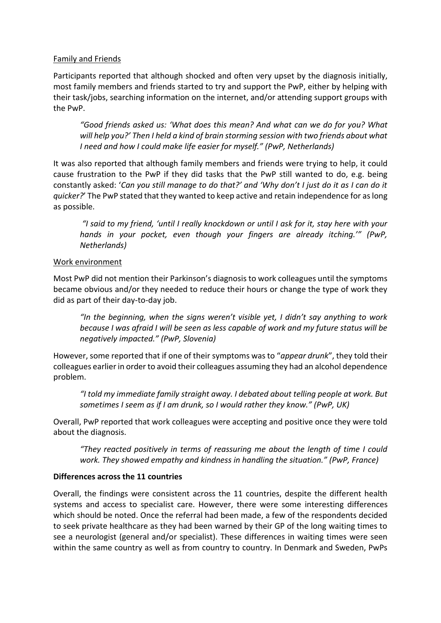## Family and Friends

Participants reported that although shocked and often very upset by the diagnosis initially, most family members and friends started to try and support the PwP, either by helping with their task/jobs, searching information on the internet, and/or attending support groups with the PwP.

"Good friends asked us: 'What does this mean? And what can we do for you? What *will help you?'* Then *I held a kind of brain storming session with two friends about what I* need and how *I* could make life easier for myself." (PwP, Netherlands)

It was also reported that although family members and friends were trying to help, it could cause frustration to the PwP if they did tasks that the PwP still wanted to do, e.g. being constantly asked: 'Can you still manage to do that?' and 'Why don't I just do it as I can do it *quicker?* The PwP stated that they wanted to keep active and retain independence for as long as possible.

"I said to my friend, 'until I really knockdown or until I ask for it, stay here with your *hands in your pocket, even though your fingers are already itching.<sup>20</sup> (PwP, Netherlands)* 

## Work environment

Most PwP did not mention their Parkinson's diagnosis to work colleagues until the symptoms became obvious and/or they needed to reduce their hours or change the type of work they did as part of their day-to-day job.

"In the beginning, when the signs weren't visible yet, I didn't say anything to work *because I was afraid I will be seen as less capable of work and my future status will be negatively impacted." (PwP, Slovenia)* 

However, some reported that if one of their symptoms was to "appear drunk", they told their colleagues earlier in order to avoid their colleagues assuming they had an alcohol dependence problem.

*さI デラノS マ┞ キママWSキ;デW a;マキノ┞ ゲデヴ;キェエデ ;┘;┞く I SWH;デWS ;Hラ┌デ デWノノキミェ ヮWラヮノW ;デ ┘ラヴニく B┌デ sometimes I seem as if I am drunk, so I would rather they know." (PwP, UK)* 

Overall, PwP reported that work colleagues were accepting and positive once they were told about the diagnosis.

*"They reacted positively in terms of reassuring me about the length of time I could work. They showed empathy and kindness in handling the situation." (PwP, France)* 

#### **Differences across the 11 countries**

Overall, the findings were consistent across the 11 countries, despite the different health systems and access to specialist care. However, there were some interesting differences which should be noted. Once the referral had been made, a few of the respondents decided to seek private healthcare as they had been warned by their GP of the long waiting times to see a neurologist (general and/or specialist). These differences in waiting times were seen within the same country as well as from country to country. In Denmark and Sweden, PwPs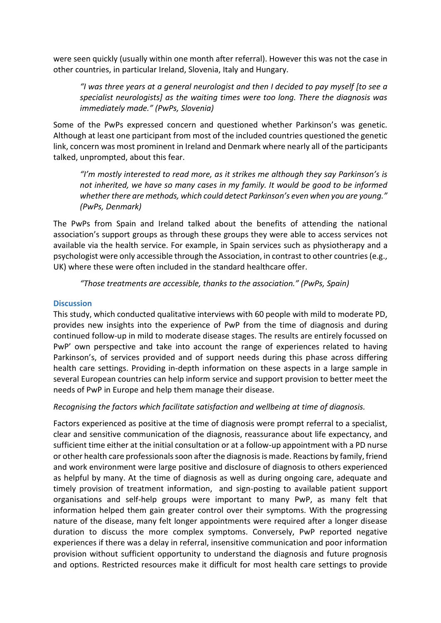were seen quickly (usually within one month after referral). However this was not the case in other countries, in particular Ireland, Slovenia, Italy and Hungary.

*さI ┘;ゲ デエヴWW ┞W;ヴゲ ;デ a general neurologist and then I decided to pay myself [to see a specialist neurologists] as the waiting times were too long. There the diagnosis was immediately made." (PwPs, Slovenia)* 

Some of the PwPs expressed concern and questioned whether Parkinson's was genetic. Although at least one participant from most of the included countries questioned the genetic link, concern was most prominent in Ireland and Denmark where nearly all of the participants talked, unprompted, about this fear.

*I'm mostly interested to read more, as it strikes me although they say Parkinson's is not inherited, we have so many cases in my family. It would be good to be informed whether there are methods, which could detect Parkinson's even when you are young." (PwPs, Denmark)* 

The PwPs from Spain and Ireland talked about the benefits of attending the national association's support groups as through these groups they were able to access services not available via the health service. For example, in Spain services such as physiotherapy and a psychologist were only accessible through the Association, in contrast to other countries (e.g., UK) where these were often included in the standard healthcare offer.

"Those treatments are accessible, thanks to the association." (PwPs, Spain)

# **Discussion**

This study, which conducted qualitative interviews with 60 people with mild to moderate PD, provides new insights into the experience of PwP from the time of diagnosis and during continued follow-up in mild to moderate disease stages. The results are entirely focussed on PwP' own perspective and take into account the range of experiences related to having Parkinson's, of services provided and of support needs during this phase across differing health care settings. Providing in-depth information on these aspects in a large sample in several European countries can help inform service and support provision to better meet the needs of PwP in Europe and help them manage their disease.

# *Recognising the factors which facilitate satisfaction and wellbeing at time of diagnosis.*

Factors experienced as positive at the time of diagnosis were prompt referral to a specialist, clear and sensitive communication of the diagnosis, reassurance about life expectancy, and sufficient time either at the initial consultation or at a follow-up appointment with a PD nurse or other health care professionals soon after the diagnosis is made. Reactions by family, friend and work environment were large positive and disclosure of diagnosis to others experienced as helpful by many. At the time of diagnosis as well as during ongoing care, adequate and timely provision of treatment information, and sign-posting to available patient support organisations and self-help groups were important to many PwP, as many felt that information helped them gain greater control over their symptoms. With the progressing nature of the disease, many felt longer appointments were required after a longer disease duration to discuss the more complex symptoms. Conversely, PwP reported negative experiences if there was a delay in referral, insensitive communication and poor information provision without sufficient opportunity to understand the diagnosis and future prognosis and options. Restricted resources make it difficult for most health care settings to provide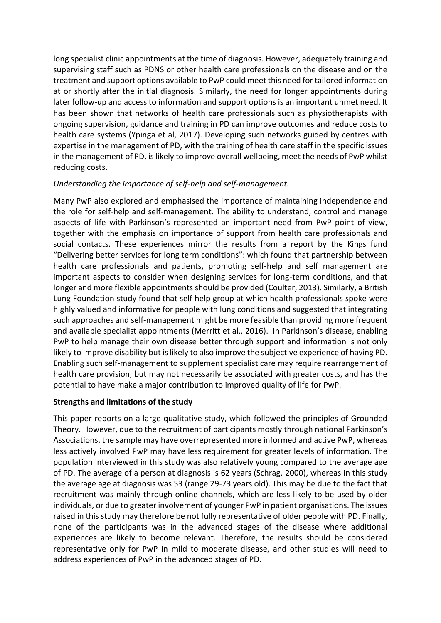long specialist clinic appointments at the time of diagnosis. However, adequately training and supervising staff such as PDNS or other health care professionals on the disease and on the treatment and support options available to PwP could meet this need for tailored information at or shortly after the initial diagnosis. Similarly, the need for longer appointments during later follow-up and access to information and support options is an important unmet need. It has been shown that networks of health care professionals such as physiotherapists with ongoing supervision, guidance and training in PD can improve outcomes and reduce costs to health care systems (Ypinga et al, 2017). Developing such networks guided by centres with expertise in the management of PD, with the training of health care staff in the specific issues in the management of PD, is likely to improve overall wellbeing, meet the needs of PwP whilst reducing costs.

# *Understanding the importance of self-help and self-management.*

Many PwP also explored and emphasised the importance of maintaining independence and the role for self-help and self-management. The ability to understand, control and manage aspects of life with Parkinson's represented an important need from PwP point of view, together with the emphasis on importance of support from health care professionals and social contacts. These experiences mirror the results from a report by the Kings fund "Delivering better services for long term conditions": which found that partnership between health care professionals and patients, promoting self-help and self management are important aspects to consider when designing services for long-term conditions, and that longer and more flexible appointments should be provided (Coulter, 2013). Similarly, a British Lung Foundation study found that self help group at which health professionals spoke were highly valued and informative for people with lung conditions and suggested that integrating such approaches and self-management might be more feasible than providing more frequent and available specialist appointments (Merritt et al., 2016). In Parkinson's disease, enabling PwP to help manage their own disease better through support and information is not only likely to improve disability but is likely to also improve the subjective experience of having PD. Enabling such self-management to supplement specialist care may require rearrangement of health care provision, but may not necessarily be associated with greater costs, and has the potential to have make a major contribution to improved quality of life for PwP.

# **Strengths and limitations of the study**

This paper reports on a large qualitative study, which followed the principles of Grounded Theory. However, due to the recruitment of participants mostly through national Parkinson's Associations, the sample may have overrepresented more informed and active PwP, whereas less actively involved PwP may have less requirement for greater levels of information. The population interviewed in this study was also relatively young compared to the average age of PD. The average of a person at diagnosis is 62 years (Schrag, 2000), whereas in this study the average age at diagnosis was 53 (range 29-73 years old). This may be due to the fact that recruitment was mainly through online channels, which are less likely to be used by older individuals, or due to greater involvement of younger PwP in patient organisations. The issues raised in this study may therefore be not fully representative of older people with PD. Finally, none of the participants was in the advanced stages of the disease where additional experiences are likely to become relevant. Therefore, the results should be considered representative only for PwP in mild to moderate disease, and other studies will need to address experiences of PwP in the advanced stages of PD.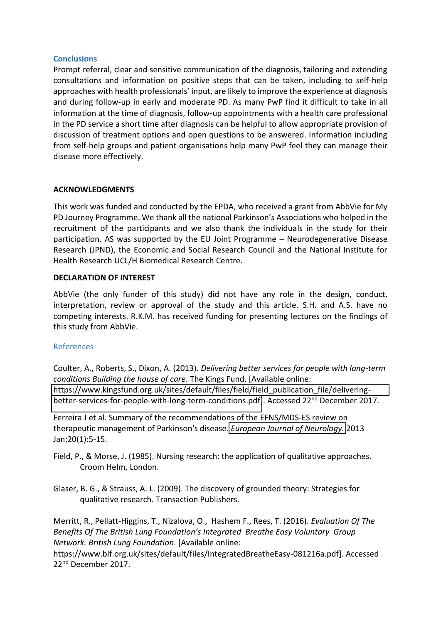## **Conclusions**

Prompt referral, clear and sensitive communication of the diagnosis, tailoring and extending consultations and information on positive steps that can be taken, including to self-help approaches with health professionals' input, are likely to improve the experience at diagnosis and during follow-up in early and moderate PD. As many PwP find it difficult to take in all information at the time of diagnosis, follow-up appointments with a health care professional in the PD service a short time after diagnosis can be helpful to allow appropriate provision of discussion of treatment options and open questions to be answered. Information including from self-help groups and patient organisations help many PwP feel they can manage their disease more effectively.

## **ACKNOWLEDGMENTS**

This work was funded and conducted by the EPDA, who received a grant from AbbVie for My PD Journey Programme. We thank all the national Parkinson's Associations who helped in the recruitment of the participants and we also thank the individuals in the study for their participation. AS was supported by the EU Joint Programme - Neurodegenerative Disease Research (JPND), the Economic and Social Research Council and the National Institute for Health Research UCL/H Biomedical Research Centre.

## **DECLARATION OF INTEREST**

AbbVie (the only funder of this study) did not have any role in the design, conduct, interpretation, review or approval of the study and this article. S.H. and A.S. have no competing interests. R.K.M. has received funding for presenting lectures on the findings of this study from AbbVie.

#### References

Coulter, A., Roberts, S., Dixon, A. (2013). *Delivering better services for people with long-term conditions Building the house of care*. The Kings Fund. [Available online: [https://www.kingsfund.org.uk/sites/default/files/field/field\\_publication\\_file/delivering](https://www.kingsfund.org.uk/sites/default/files/field/field_publication_file/delivering-better-services-for-people-with-long-term-conditions.pdf)[better-services-for-people-with-long-term-conditions.pdf\]](https://www.kingsfund.org.uk/sites/default/files/field/field_publication_file/delivering-better-services-for-people-with-long-term-conditions.pdf). Accessed 22<sup>nd</sup> December 2017.

Ferreira J et al. Summary of the recommendations of the EFNS/MDS-ES review on therapeutic management of Parkinson's disease. *[European Journal of Neurology.](https://www.ncbi.nlm.nih.gov/pubmed/?term=treatment+and+efns+and+parkinson%27s+disease+and+ferreira+j)* 2013 Jan;20(1):5-15.

- Field, P., & Morse, J. (1985). Nursing research: the application of qualitative approaches. Croom Helm, London.
- Glaser, B. G., & Strauss, A. L. (2009). The discovery of grounded theory: Strategies for qualitative research. Transaction Publishers.

Merritt, R., Pellatt-Higgins, T., Nizalova, O., Hashem F., Rees, T. (2016). *Evaluation Of The*  Benefits Of The British Lung Foundation's Integrated Breathe Easy Voluntary Group *Network. British Lung Foundation*. [Available online:

https://www.blf.org.uk/sites/default/files/IntegratedBreatheEasy-081216a.pdf]. Accessed 22nd December 2017.